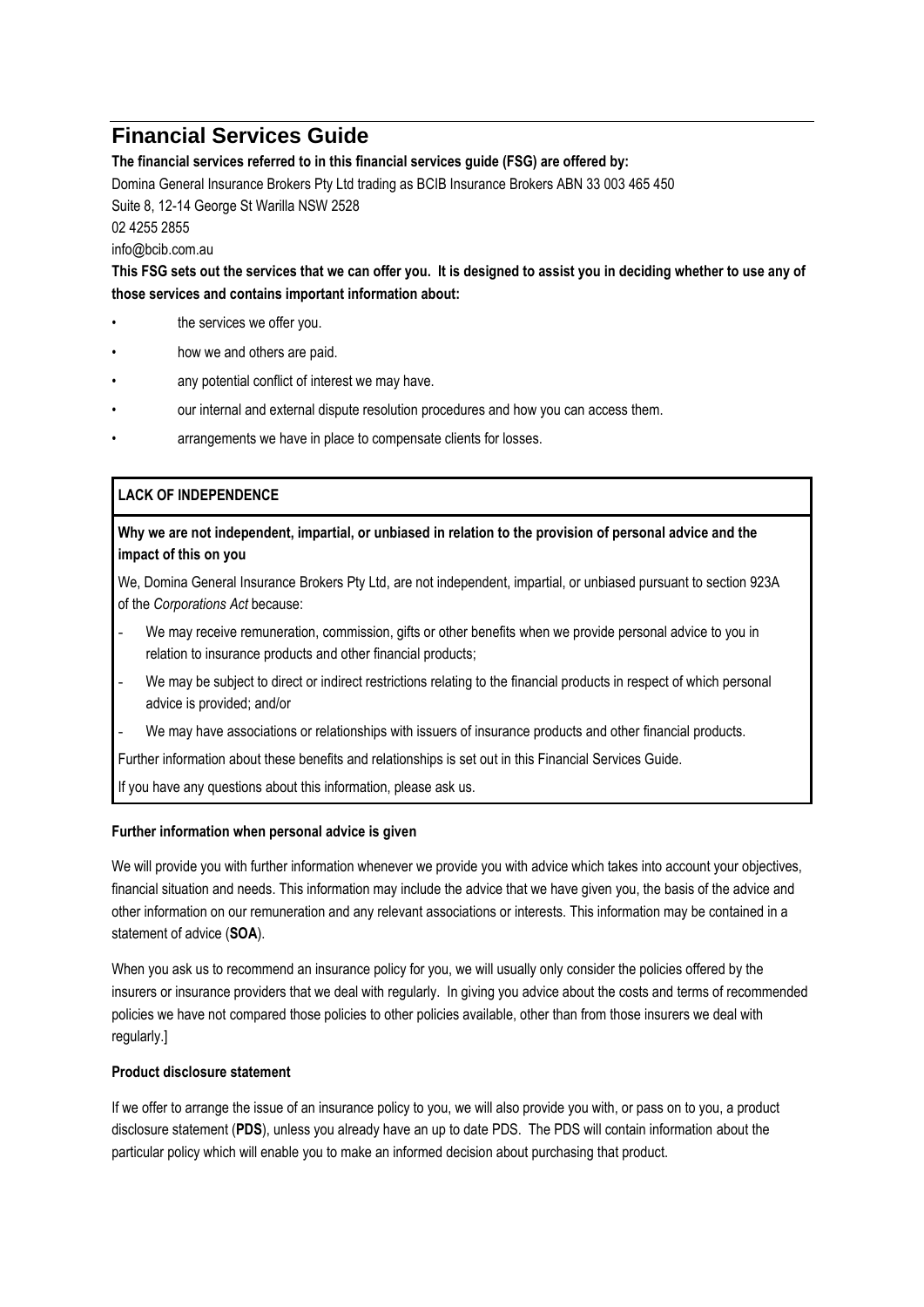# **Financial Services Guide**

**The financial services referred to in this financial services guide (FSG) are offered by:**

Domina General Insurance Brokers Pty Ltd trading as BCIB Insurance Brokers ABN 33 003 465 450 Suite 8, 12-14 George St Warilla NSW 2528 02 4255 2855

info@bcib.com.au

**This FSG sets out the services that we can offer you. It is designed to assist you in deciding whether to use any of those services and contains important information about:**

- the services we offer you.
- how we and others are paid.
- any potential conflict of interest we may have.
- our internal and external dispute resolution procedures and how you can access them.
- arrangements we have in place to compensate clients for losses.

## **LACK OF INDEPENDENCE**

## **Why we are not independent, impartial, or unbiased in relation to the provision of personal advice and the impact of this on you**

We, Domina General Insurance Brokers Pty Ltd, are not independent, impartial, or unbiased pursuant to section 923A of the *Corporations Act* because:

- We may receive remuneration, commission, gifts or other benefits when we provide personal advice to you in relation to insurance products and other financial products;
- We may be subject to direct or indirect restrictions relating to the financial products in respect of which personal advice is provided; and/or
- We may have associations or relationships with issuers of insurance products and other financial products.

Further information about these benefits and relationships is set out in this Financial Services Guide.

If you have any questions about this information, please ask us.

### **Further information when personal advice is given**

We will provide you with further information whenever we provide you with advice which takes into account your objectives, financial situation and needs. This information may include the advice that we have given you, the basis of the advice and other information on our remuneration and any relevant associations or interests. This information may be contained in a statement of advice (**SOA**).

When you ask us to recommend an insurance policy for you, we will usually only consider the policies offered by the insurers or insurance providers that we deal with regularly. In giving you advice about the costs and terms of recommended policies we have not compared those policies to other policies available, other than from those insurers we deal with regularly.]

### **Product disclosure statement**

If we offer to arrange the issue of an insurance policy to you, we will also provide you with, or pass on to you, a product disclosure statement (**PDS**), unless you already have an up to date PDS. The PDS will contain information about the particular policy which will enable you to make an informed decision about purchasing that product.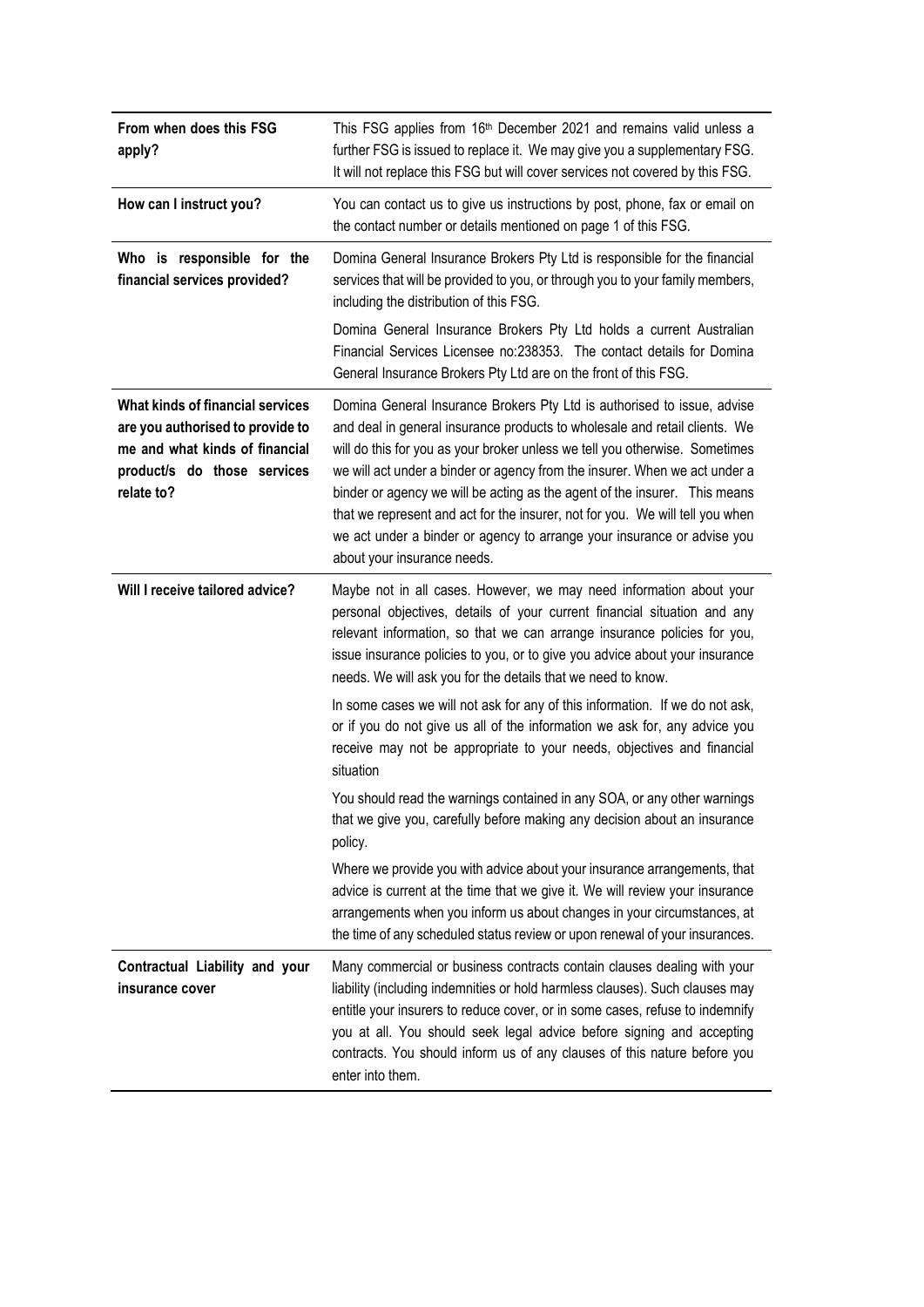| From when does this FSG<br>apply?                                                                                                                          | This FSG applies from 16 <sup>th</sup> December 2021 and remains valid unless a<br>further FSG is issued to replace it. We may give you a supplementary FSG.<br>It will not replace this FSG but will cover services not covered by this FSG.                                                                                                                                                                                                                                                                                                                                               |  |  |
|------------------------------------------------------------------------------------------------------------------------------------------------------------|---------------------------------------------------------------------------------------------------------------------------------------------------------------------------------------------------------------------------------------------------------------------------------------------------------------------------------------------------------------------------------------------------------------------------------------------------------------------------------------------------------------------------------------------------------------------------------------------|--|--|
| How can I instruct you?                                                                                                                                    | You can contact us to give us instructions by post, phone, fax or email on<br>the contact number or details mentioned on page 1 of this FSG.                                                                                                                                                                                                                                                                                                                                                                                                                                                |  |  |
| Who is responsible for the<br>financial services provided?                                                                                                 | Domina General Insurance Brokers Pty Ltd is responsible for the financial<br>services that will be provided to you, or through you to your family members,<br>including the distribution of this FSG.                                                                                                                                                                                                                                                                                                                                                                                       |  |  |
|                                                                                                                                                            | Domina General Insurance Brokers Pty Ltd holds a current Australian<br>Financial Services Licensee no:238353. The contact details for Domina<br>General Insurance Brokers Pty Ltd are on the front of this FSG.                                                                                                                                                                                                                                                                                                                                                                             |  |  |
| <b>What kinds of financial services</b><br>are you authorised to provide to<br>me and what kinds of financial<br>product/s do those services<br>relate to? | Domina General Insurance Brokers Pty Ltd is authorised to issue, advise<br>and deal in general insurance products to wholesale and retail clients. We<br>will do this for you as your broker unless we tell you otherwise. Sometimes<br>we will act under a binder or agency from the insurer. When we act under a<br>binder or agency we will be acting as the agent of the insurer. This means<br>that we represent and act for the insurer, not for you. We will tell you when<br>we act under a binder or agency to arrange your insurance or advise you<br>about your insurance needs. |  |  |
| Will I receive tailored advice?                                                                                                                            | Maybe not in all cases. However, we may need information about your<br>personal objectives, details of your current financial situation and any<br>relevant information, so that we can arrange insurance policies for you,<br>issue insurance policies to you, or to give you advice about your insurance<br>needs. We will ask you for the details that we need to know.                                                                                                                                                                                                                  |  |  |
|                                                                                                                                                            | In some cases we will not ask for any of this information. If we do not ask,<br>or if you do not give us all of the information we ask for, any advice you<br>receive may not be appropriate to your needs, objectives and financial<br>situation                                                                                                                                                                                                                                                                                                                                           |  |  |
|                                                                                                                                                            | You should read the warnings contained in any SOA, or any other warnings<br>that we give you, carefully before making any decision about an insurance<br>policy.                                                                                                                                                                                                                                                                                                                                                                                                                            |  |  |
|                                                                                                                                                            | Where we provide you with advice about your insurance arrangements, that<br>advice is current at the time that we give it. We will review your insurance<br>arrangements when you inform us about changes in your circumstances, at<br>the time of any scheduled status review or upon renewal of your insurances.                                                                                                                                                                                                                                                                          |  |  |
| Contractual Liability and your<br>insurance cover                                                                                                          | Many commercial or business contracts contain clauses dealing with your<br>liability (including indemnities or hold harmless clauses). Such clauses may<br>entitle your insurers to reduce cover, or in some cases, refuse to indemnify<br>you at all. You should seek legal advice before signing and accepting<br>contracts. You should inform us of any clauses of this nature before you<br>enter into them.                                                                                                                                                                            |  |  |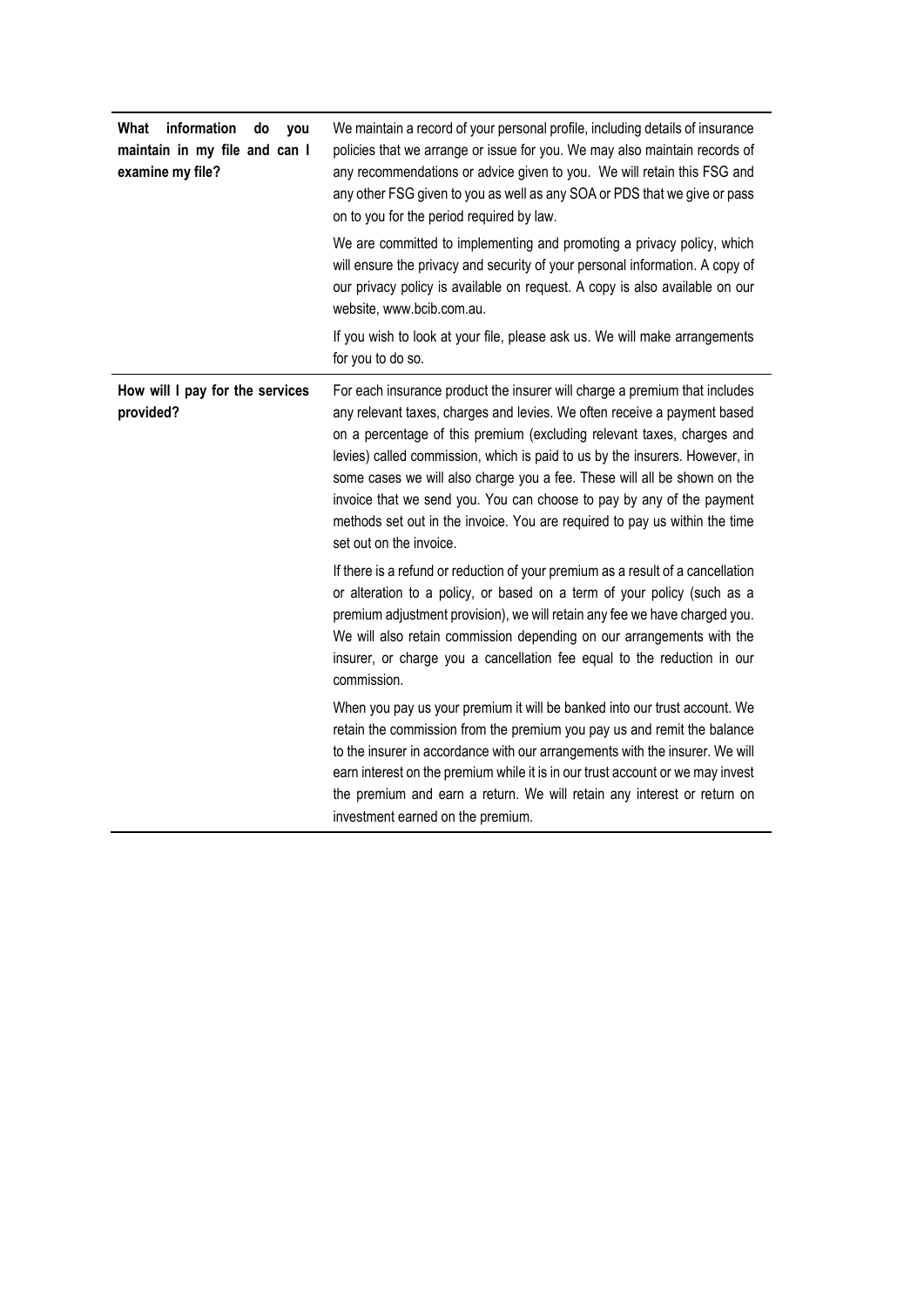| information<br>What<br>do<br>you<br>maintain in my file and can I<br>examine my file? | We maintain a record of your personal profile, including details of insurance<br>policies that we arrange or issue for you. We may also maintain records of<br>any recommendations or advice given to you. We will retain this FSG and<br>any other FSG given to you as well as any SOA or PDS that we give or pass<br>on to you for the period required by law.                                                                                                                                                                                                              |
|---------------------------------------------------------------------------------------|-------------------------------------------------------------------------------------------------------------------------------------------------------------------------------------------------------------------------------------------------------------------------------------------------------------------------------------------------------------------------------------------------------------------------------------------------------------------------------------------------------------------------------------------------------------------------------|
|                                                                                       | We are committed to implementing and promoting a privacy policy, which<br>will ensure the privacy and security of your personal information. A copy of<br>our privacy policy is available on request. A copy is also available on our<br>website, www.bcib.com.au.                                                                                                                                                                                                                                                                                                            |
|                                                                                       | If you wish to look at your file, please ask us. We will make arrangements<br>for you to do so.                                                                                                                                                                                                                                                                                                                                                                                                                                                                               |
| How will I pay for the services<br>provided?                                          | For each insurance product the insurer will charge a premium that includes<br>any relevant taxes, charges and levies. We often receive a payment based<br>on a percentage of this premium (excluding relevant taxes, charges and<br>levies) called commission, which is paid to us by the insurers. However, in<br>some cases we will also charge you a fee. These will all be shown on the<br>invoice that we send you. You can choose to pay by any of the payment<br>methods set out in the invoice. You are required to pay us within the time<br>set out on the invoice. |
|                                                                                       | If there is a refund or reduction of your premium as a result of a cancellation<br>or alteration to a policy, or based on a term of your policy (such as a<br>premium adjustment provision), we will retain any fee we have charged you.<br>We will also retain commission depending on our arrangements with the<br>insurer, or charge you a cancellation fee equal to the reduction in our<br>commission.                                                                                                                                                                   |
|                                                                                       | When you pay us your premium it will be banked into our trust account. We<br>retain the commission from the premium you pay us and remit the balance<br>to the insurer in accordance with our arrangements with the insurer. We will<br>earn interest on the premium while it is in our trust account or we may invest<br>the premium and earn a return. We will retain any interest or return on<br>investment earned on the premium.                                                                                                                                        |

 $\blacksquare$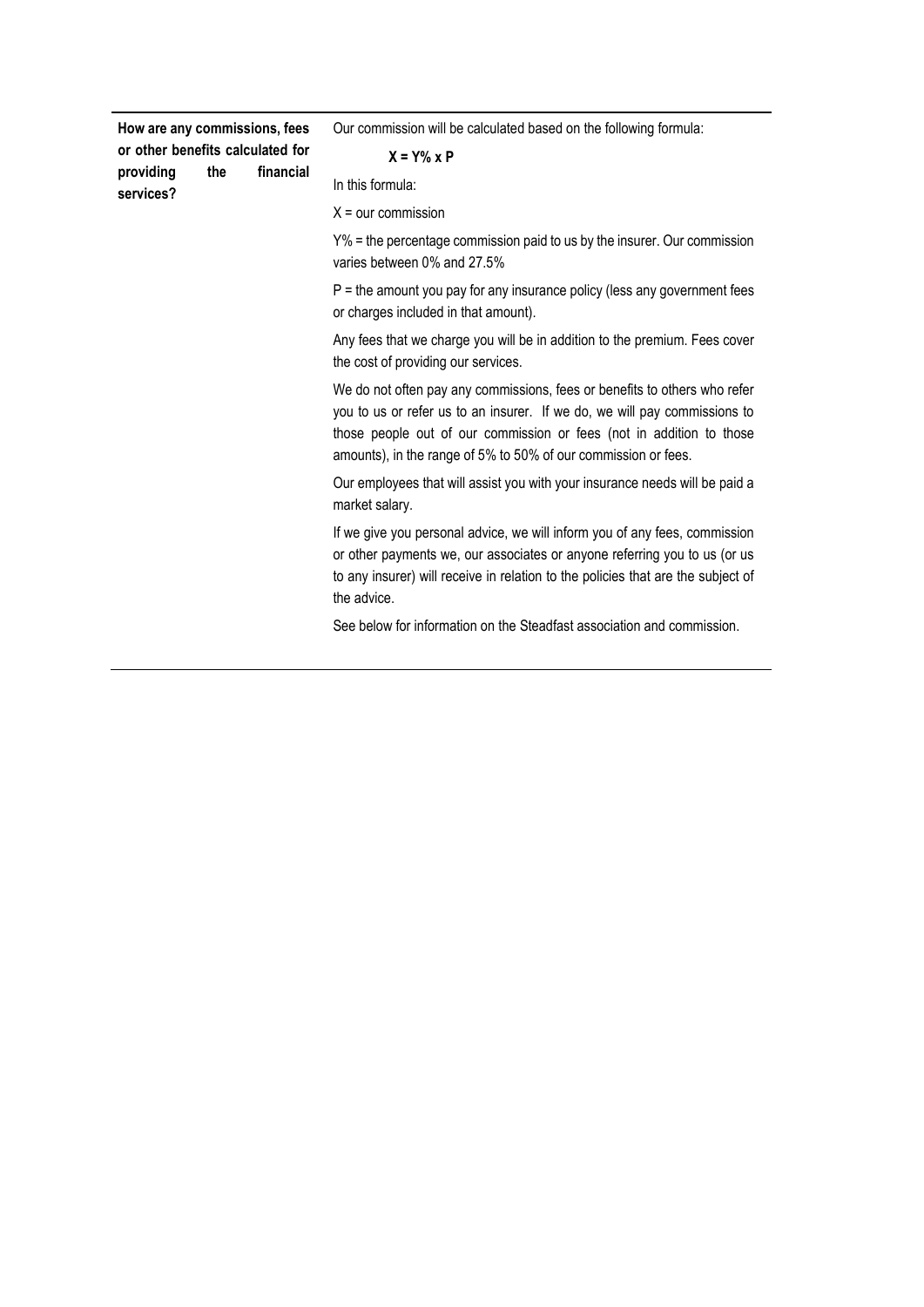**How are any commissions, fees or other benefits calculated for providing the financial services?**

Our commission will be calculated based on the following formula:

#### **X = Y% x P**

In this formula:

 $X =$  our commission

Y% = the percentage commission paid to us by the insurer. Our commission varies between 0% and 27.5%

 $P =$  the amount you pay for any insurance policy (less any government fees or charges included in that amount).

Any fees that we charge you will be in addition to the premium. Fees cover the cost of providing our services.

We do not often pay any commissions, fees or benefits to others who refer you to us or refer us to an insurer. If we do, we will pay commissions to those people out of our commission or fees (not in addition to those amounts), in the range of 5% to 50% of our commission or fees.

Our employees that will assist you with your insurance needs will be paid a market salary.

If we give you personal advice, we will inform you of any fees, commission or other payments we, our associates or anyone referring you to us (or us to any insurer) will receive in relation to the policies that are the subject of the advice.

See below for information on the Steadfast association and commission.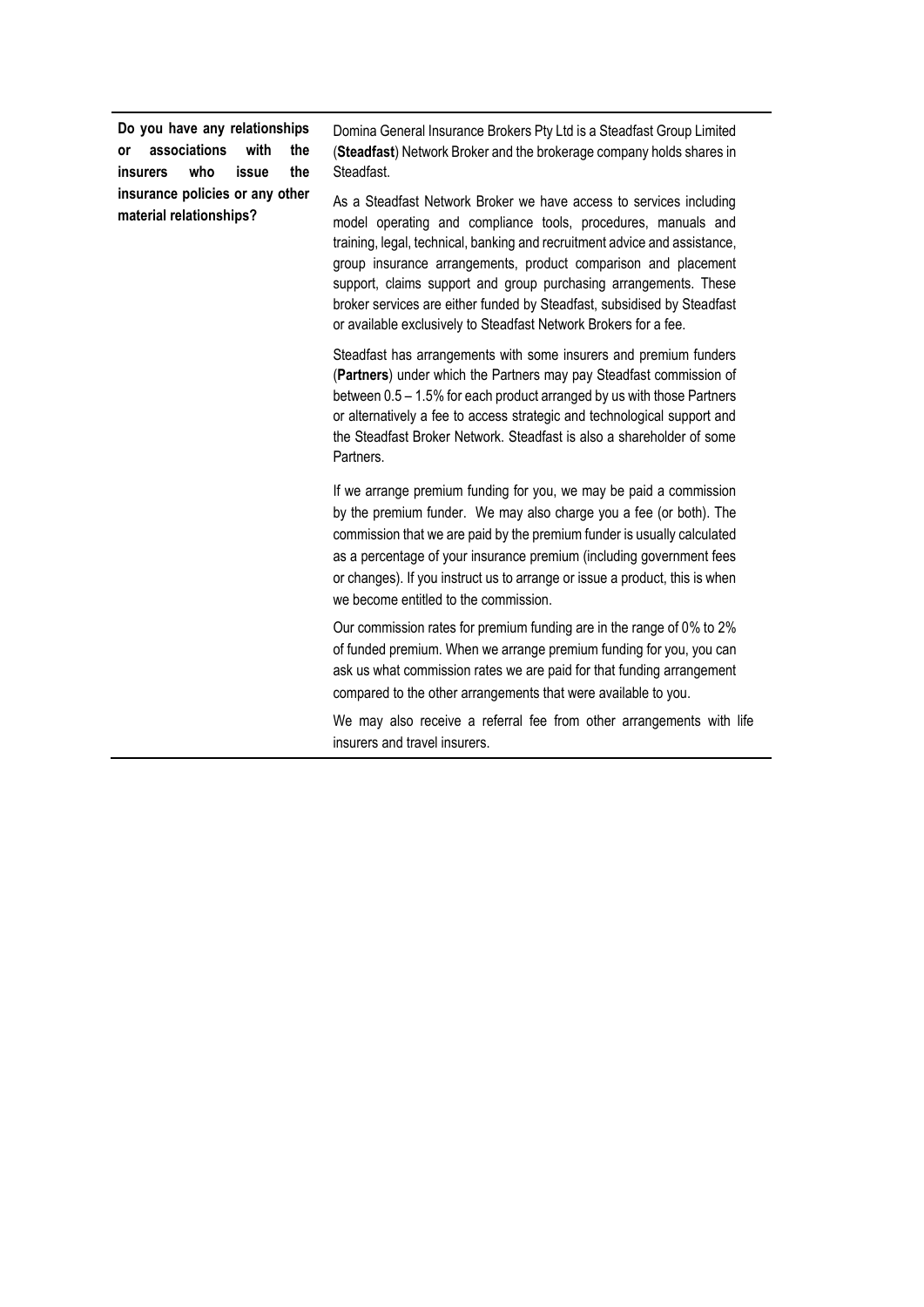**Do you have any relationships or associations with the insurers who issue the insurance policies or any other material relationships?**

Domina General Insurance Brokers Pty Ltd is a Steadfast Group Limited (**Steadfast**) Network Broker and the brokerage company holds shares in Steadfast.

As a Steadfast Network Broker we have access to services including model operating and compliance tools, procedures, manuals and training, legal, technical, banking and recruitment advice and assistance, group insurance arrangements, product comparison and placement support, claims support and group purchasing arrangements. These broker services are either funded by Steadfast, subsidised by Steadfast or available exclusively to Steadfast Network Brokers for a fee.

Steadfast has arrangements with some insurers and premium funders (**Partners**) under which the Partners may pay Steadfast commission of between 0.5 – 1.5% for each product arranged by us with those Partners or alternatively a fee to access strategic and technological support and the Steadfast Broker Network. Steadfast is also a shareholder of some Partners.

If we arrange premium funding for you, we may be paid a commission by the premium funder. We may also charge you a fee (or both). The commission that we are paid by the premium funder is usually calculated as a percentage of your insurance premium (including government fees or changes). If you instruct us to arrange or issue a product, this is when we become entitled to the commission.

Our commission rates for premium funding are in the range of 0% to 2% of funded premium. When we arrange premium funding for you, you can ask us what commission rates we are paid for that funding arrangement compared to the other arrangements that were available to you.

We may also receive a referral fee from other arrangements with life insurers and travel insurers.